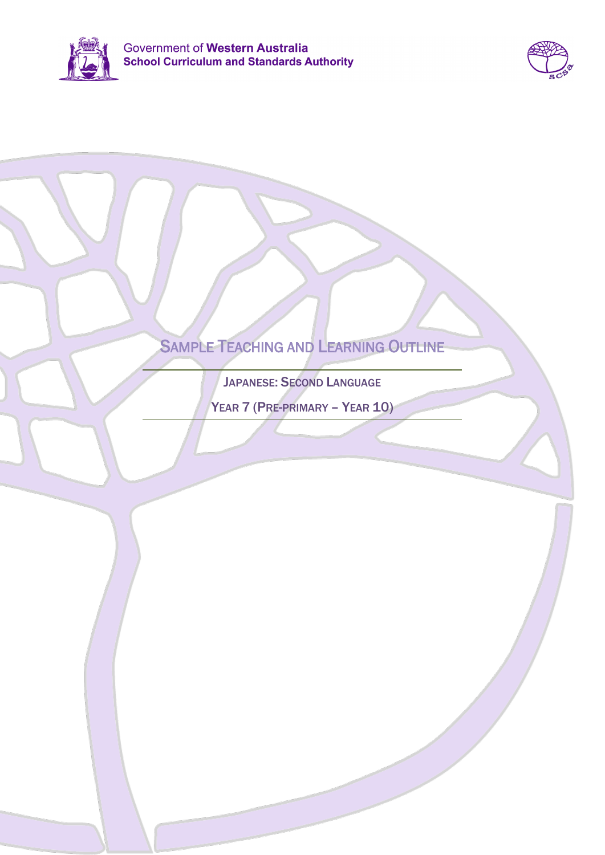



# SAMPLE TEACHING AND LEARNING OUTLINE

JAPANESE: SECOND LANGUAGE

YEAR 7 (PRE-PRIMARY – YEAR 10)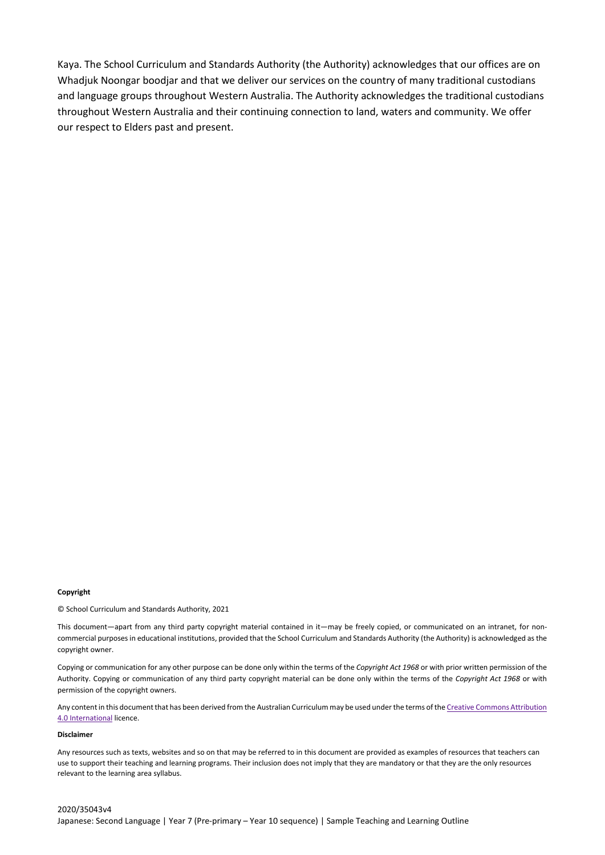Kaya. The School Curriculum and Standards Authority (the Authority) acknowledges that our offices are on Whadjuk Noongar boodjar and that we deliver our services on the country of many traditional custodians and language groups throughout Western Australia. The Authority acknowledges the traditional custodians throughout Western Australia and their continuing connection to land, waters and community. We offer our respect to Elders past and present.

#### **Copyright**

© School Curriculum and Standards Authority, 2021

This document—apart from any third party copyright material contained in it—may be freely copied, or communicated on an intranet, for noncommercial purposes in educational institutions, provided that the School Curriculum and Standards Authority (the Authority) is acknowledged as the copyright owner.

Copying or communication for any other purpose can be done only within the terms of the *Copyright Act 1968* or with prior written permission of the Authority. Copying or communication of any third party copyright material can be done only within the terms of the *Copyright Act 1968* or with permission of the copyright owners.

Any content in this document that has been derived from the Australian Curriculum may be used under the terms of the Creative Commons Attribution [4.0 International](https://creativecommons.org/licenses/by/4.0/) licence.

#### **Disclaimer**

Any resources such as texts, websites and so on that may be referred to in this document are provided as examples of resources that teachers can use to support their teaching and learning programs. Their inclusion does not imply that they are mandatory or that they are the only resources relevant to the learning area syllabus.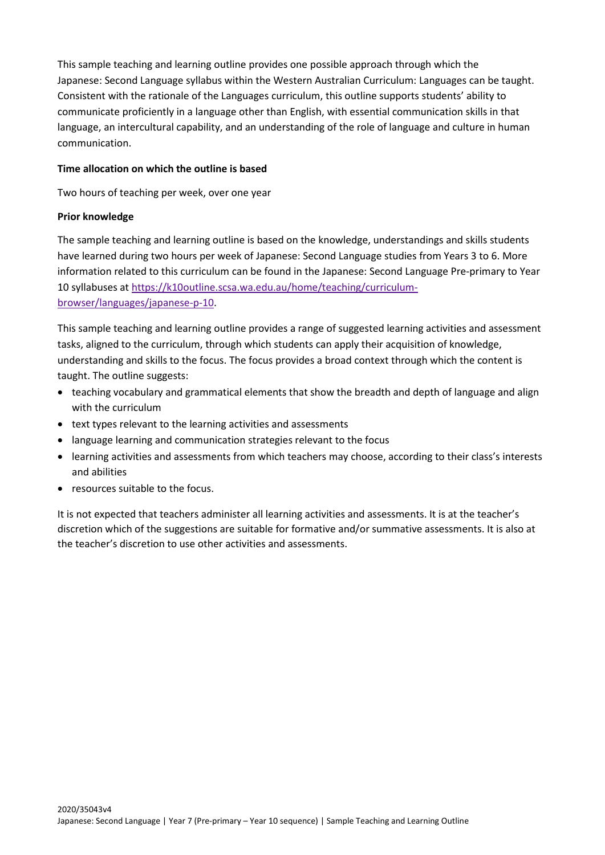This sample teaching and learning outline provides one possible approach through which the Japanese: Second Language syllabus within the Western Australian Curriculum: Languages can be taught. Consistent with the rationale of the Languages curriculum, this outline supports students' ability to communicate proficiently in a language other than English, with essential communication skills in that language, an intercultural capability, and an understanding of the role of language and culture in human communication.

## **Time allocation on which the outline is based**

Two hours of teaching per week, over one year

## **Prior knowledge**

The sample teaching and learning outline is based on the knowledge, understandings and skills students have learned during two hours per week of Japanese: Second Language studies from Years 3 to 6. More information related to this curriculum can be found in the Japanese: Second Language Pre-primary to Year 10 syllabuses at [https://k10outline.scsa.wa.edu.au/home/teaching/curriculum](https://k10outline.scsa.wa.edu.au/home/teaching/curriculum-browser/languages/japanese-p-10)[browser/languages/japanese-p-10.](https://k10outline.scsa.wa.edu.au/home/teaching/curriculum-browser/languages/japanese-p-10)

This sample teaching and learning outline provides a range of suggested learning activities and assessment tasks, aligned to the curriculum, through which students can apply their acquisition of knowledge, understanding and skills to the focus. The focus provides a broad context through which the content is taught. The outline suggests:

- teaching vocabulary and grammatical elements that show the breadth and depth of language and align with the curriculum
- text types relevant to the learning activities and assessments
- language learning and communication strategies relevant to the focus
- learning activities and assessments from which teachers may choose, according to their class's interests and abilities
- resources suitable to the focus.

It is not expected that teachers administer all learning activities and assessments. It is at the teacher's discretion which of the suggestions are suitable for formative and/or summative assessments. It is also at the teacher's discretion to use other activities and assessments.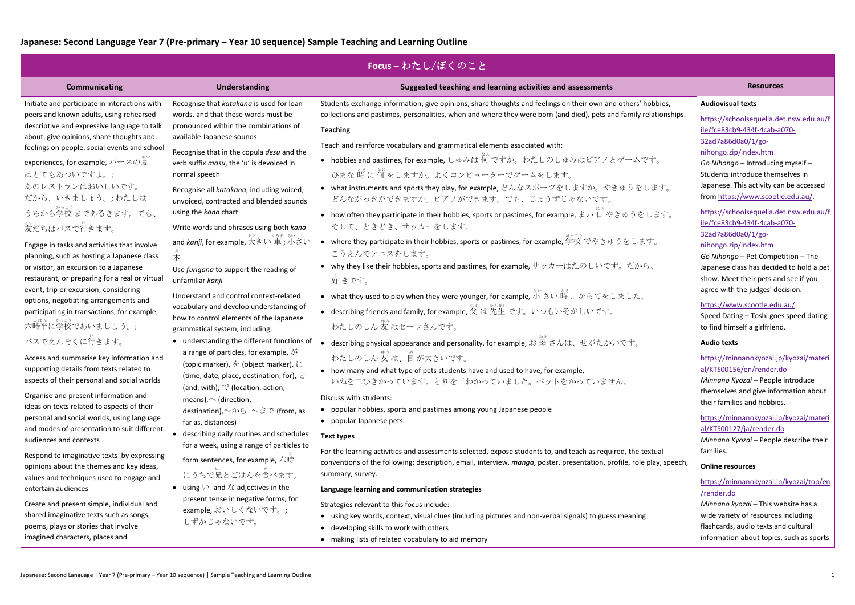## **Japanese: Second Language Year 7 (Pre-primary – Year 10 sequence) Sample Teaching and Learning Outline**

| Focus-わたし/ぼくのこと                                                                                                                                                                                           |                                                                                                                                                                                                                             |                                                                                                                                                                                                                                                                                                             |                                                                                                                                                                                |  |
|-----------------------------------------------------------------------------------------------------------------------------------------------------------------------------------------------------------|-----------------------------------------------------------------------------------------------------------------------------------------------------------------------------------------------------------------------------|-------------------------------------------------------------------------------------------------------------------------------------------------------------------------------------------------------------------------------------------------------------------------------------------------------------|--------------------------------------------------------------------------------------------------------------------------------------------------------------------------------|--|
| Communicating                                                                                                                                                                                             | <b>Understanding</b>                                                                                                                                                                                                        | Suggested teaching and learning activities and assessments                                                                                                                                                                                                                                                  | <b>Resources</b>                                                                                                                                                               |  |
| Initiate and participate in interactions with<br>peers and known adults, using rehearsed<br>descriptive and expressive language to talk<br>about, give opinions, share thoughts and                       | Recognise that katakana is used for loan<br>words, and that these words must be<br>pronounced within the combinations of<br>available Japanese sounds                                                                       | Students exchange information, give opinions, share thoughts and feelings on their own and others' hobbies,<br>collections and pastimes, personalities, when and where they were born (and died), pets and family relationships.<br><b>Teaching</b>                                                         | <b>Audiovisual texts</b><br>https://schoolsequella.det.nsw.edu.au/f<br>ile/fce83cb9-434f-4cab-a070-<br>32ad7a86d0a0/1/go-                                                      |  |
| feelings on people, social events and school<br>experiences, for example, パースの夏<br>はとてもあついですよ。;<br>あのレストランはおいしいです。<br>だから、いきましょう。;わたしは                                                                    | Recognise that in the copula desu and the<br>verb suffix masu, the 'u' is devoiced in<br>normal speech<br>Recognise all katakana, including voiced,<br>unvoiced, contracted and blended sounds                              | Teach and reinforce vocabulary and grammatical elements associated with:<br>• hobbies and pastimes, for example, しゅみは何ですか。わたしのしゅみはピアノとゲームです。<br>ひまな時に何をしますか。よくコンピューターでゲームをします。<br>• what instruments and sports they play, for example, どんなスポーツをしますか。やきゅうをします。<br>どんながっきができますか。ピアノができます。でも、じょうずじゃないです。      | nihongo.zip/index.htm<br>Go Nihongo - Introducing myself -<br>Students introduce themselves in<br>Japanese. This activity can be accessed<br>from https://www.scootle.edu.au/. |  |
| うちから学校まであるきます。でも、<br>妄だちはバスで行きます。                                                                                                                                                                         | using the kana chart<br>Write words and phrases using both kana                                                                                                                                                             | • how often they participate in their hobbies, sports or pastimes, for example, まい 日 やきゅうをします。<br>そして、ときどき、サッカーをします。                                                                                                                                                                                        | https://schoolsequella.det.nsw.edu.au/f<br>ile/fce83cb9-434f-4cab-a070-<br>32ad7a86d0a0/1/go-                                                                                  |  |
| Engage in tasks and activities that involve<br>planning, such as hosting a Japanese class<br>or visitor, an excursion to a Japanese<br>restaurant, or preparing for a real or virtual                     | and <i>kanji</i> , for example, 犬きい 車; 小さい<br>未<br>Use furigana to support the reading of<br>unfamiliar kanji                                                                                                               | ● where they participate in their hobbies, sports or pastimes, for example, 学校 でやきゅうをします。<br>こうえんでテニスをします。<br>• why they like their hobbies, sports and pastimes, for example, サッカーはたのしいです。だから、<br>好きです。                                                                                                    | nihongo.zip/index.htm<br>Go Nihongo - Pet Competition - The<br>Japanese class has decided to hold a pet<br>show. Meet their pets and see if you                                |  |
| event, trip or excursion, considering<br>options, negotiating arrangements and<br>participating in transactions, for example,<br>-<br>六時半に学校であいましょう。;                                                     | Understand and control context-related<br>vocabulary and develop understanding of<br>how to control elements of the Japanese<br>grammatical system, including;                                                              | • what they used to play when they were younger, for example, 小 さい 時、からてをしました。<br>● describing friends and family, for example, 父は先生です。 いつもいそがしいです。<br>わたしのしん 友 はセーラさんです。                                                                                                                                   | agree with the judges' decision.<br>https://www.scootle.edu.au/<br>Speed Dating - Toshi goes speed dating<br>to find himself a girlfriend.                                     |  |
| バスでえんそくに行きます。<br>Access and summarise key information and<br>supporting details from texts related to<br>aspects of their personal and social worlds                                                      | • understanding the different functions of<br>a range of particles, for example, が<br>(topic marker), を (object marker), に<br>(time, date, place, destination, for), $\geq$<br>(and, with), $\heartsuit$ (location, action, | ● describing physical appearance and personality, for example, お每さんは、せがたかいです。<br>わたしのしん友は、自が大きいです。<br>• how many and what type of pets students have and used to have, for example,<br>いぬを二ひきかっています。とりを三わかっていました。ペットをかっていません。                                                                               | <b>Audio texts</b><br>https://minnanokyozai.jp/kyozai/materi<br>al/KTS00156/en/render.do<br>Minnano Kyozai - People introduce<br>themselves and give information about         |  |
| Organise and present information and<br>ideas on texts related to aspects of their<br>personal and social worlds, using language<br>and modes of presentation to suit different<br>audiences and contexts | means), $\sim$ (direction,<br>destination), $\sim$ から ~まで (from, as<br>far as, distances)<br>describing daily routines and schedules<br>for a week, using a range of particles to                                           | Discuss with students:<br>• popular hobbies, sports and pastimes among young Japanese people<br>• popular Japanese pets.<br><b>Text types</b>                                                                                                                                                               | their families and hobbies.<br>https://minnanokyozai.jp/kyozai/materi<br>al/KTS00127/ja/render.do<br>Minnano Kyozai - People describe their                                    |  |
| Respond to imaginative texts by expressing<br>opinions about the themes and key ideas,<br>values and techniques used to engage and<br>entertain audiences                                                 | form sentences, for example, 六時<br>にうちで兄とごはんを食べます。<br>• using $\vee$ and $\angle$ adjectives in the                                                                                                                         | For the learning activities and assessments selected, expose students to, and teach as required, the textual<br>conventions of the following: description, email, interview, manga, poster, presentation, profile, role play, speech,<br>summary, survey.<br>Language learning and communication strategies | families.<br><b>Online resources</b><br>https://minnanokyozai.jp/kyozai/top/en                                                                                                 |  |
| Create and present simple, individual and<br>shared imaginative texts such as songs,<br>poems, plays or stories that involve<br>imagined characters, places and                                           | present tense in negative forms, for<br>example,おいしくないです。;<br>しずかじゃないです。                                                                                                                                                    | Strategies relevant to this focus include:<br>using key words, context, visual clues (including pictures and non-verbal signals) to guess meaning<br>• developing skills to work with others<br>• making lists of related vocabulary to aid memory                                                          | /render.do<br>Minnano kyozai - This website has a<br>wide variety of resources including<br>flashcards, audio texts and cultural<br>information about topics, such as sports   |  |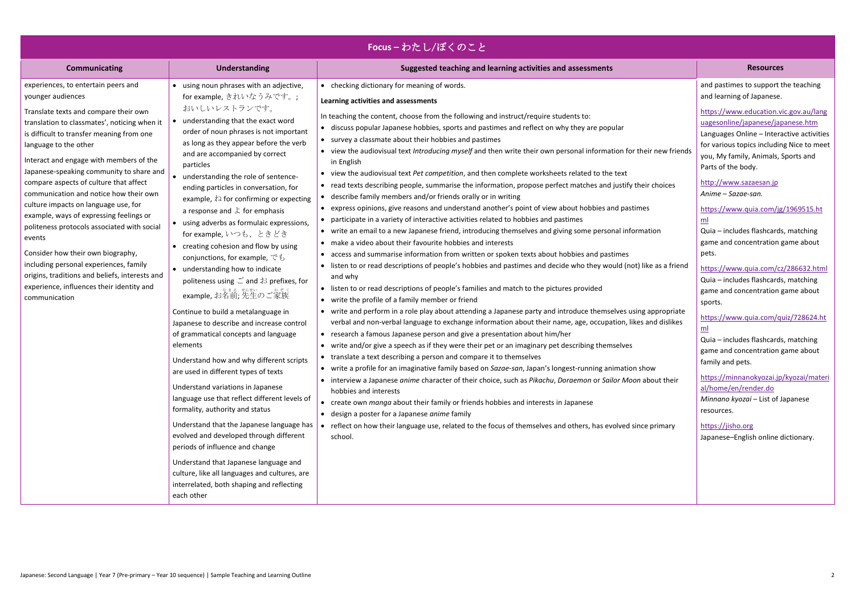| Focus - わたし/ぼくのこと                                                                                                                                                                                                                                                                                                                                                                                                                                                                                                                                                                                                                                                                                                                             |                                                                                                                                                                                                                                                                                                                                                                                                                                                                                                                                                                                                                                                                                                                                                                                                                                                                                                                                                                                                                                                                                                                                                                                                                                                                                                                                                                 |                                                                                                                                                                                                                                                                                                                                                                                                                                                                                                                                                                                                                                                                                                                                                                                                                                                                                                                                                                                                                                                                                                                                                                                                                                                                                                                                                                                                                                                                                                                                                                                                                                                                                                                                                                                                                                                                                                                                                                                                                                                                                                                                                                                                                                                                                                                                                                                                                                                                                                                           |                                                                                                                                                                                                                                                                                                                                                                                                                                                                                                                                                                                                                                                                                                                                                                                                                                                                                                                                                        |
|-----------------------------------------------------------------------------------------------------------------------------------------------------------------------------------------------------------------------------------------------------------------------------------------------------------------------------------------------------------------------------------------------------------------------------------------------------------------------------------------------------------------------------------------------------------------------------------------------------------------------------------------------------------------------------------------------------------------------------------------------|-----------------------------------------------------------------------------------------------------------------------------------------------------------------------------------------------------------------------------------------------------------------------------------------------------------------------------------------------------------------------------------------------------------------------------------------------------------------------------------------------------------------------------------------------------------------------------------------------------------------------------------------------------------------------------------------------------------------------------------------------------------------------------------------------------------------------------------------------------------------------------------------------------------------------------------------------------------------------------------------------------------------------------------------------------------------------------------------------------------------------------------------------------------------------------------------------------------------------------------------------------------------------------------------------------------------------------------------------------------------|---------------------------------------------------------------------------------------------------------------------------------------------------------------------------------------------------------------------------------------------------------------------------------------------------------------------------------------------------------------------------------------------------------------------------------------------------------------------------------------------------------------------------------------------------------------------------------------------------------------------------------------------------------------------------------------------------------------------------------------------------------------------------------------------------------------------------------------------------------------------------------------------------------------------------------------------------------------------------------------------------------------------------------------------------------------------------------------------------------------------------------------------------------------------------------------------------------------------------------------------------------------------------------------------------------------------------------------------------------------------------------------------------------------------------------------------------------------------------------------------------------------------------------------------------------------------------------------------------------------------------------------------------------------------------------------------------------------------------------------------------------------------------------------------------------------------------------------------------------------------------------------------------------------------------------------------------------------------------------------------------------------------------------------------------------------------------------------------------------------------------------------------------------------------------------------------------------------------------------------------------------------------------------------------------------------------------------------------------------------------------------------------------------------------------------------------------------------------------------------------------------------------------|--------------------------------------------------------------------------------------------------------------------------------------------------------------------------------------------------------------------------------------------------------------------------------------------------------------------------------------------------------------------------------------------------------------------------------------------------------------------------------------------------------------------------------------------------------------------------------------------------------------------------------------------------------------------------------------------------------------------------------------------------------------------------------------------------------------------------------------------------------------------------------------------------------------------------------------------------------|
| <b>Communicating</b>                                                                                                                                                                                                                                                                                                                                                                                                                                                                                                                                                                                                                                                                                                                          | <b>Understanding</b>                                                                                                                                                                                                                                                                                                                                                                                                                                                                                                                                                                                                                                                                                                                                                                                                                                                                                                                                                                                                                                                                                                                                                                                                                                                                                                                                            | Suggested teaching and learning activities and assessments                                                                                                                                                                                                                                                                                                                                                                                                                                                                                                                                                                                                                                                                                                                                                                                                                                                                                                                                                                                                                                                                                                                                                                                                                                                                                                                                                                                                                                                                                                                                                                                                                                                                                                                                                                                                                                                                                                                                                                                                                                                                                                                                                                                                                                                                                                                                                                                                                                                                | <b>Resources</b>                                                                                                                                                                                                                                                                                                                                                                                                                                                                                                                                                                                                                                                                                                                                                                                                                                                                                                                                       |
| experiences, to entertain peers and<br>younger audiences<br>Translate texts and compare their own<br>translation to classmates', noticing when it<br>is difficult to transfer meaning from one<br>language to the other<br>Interact and engage with members of the<br>Japanese-speaking community to share and<br>compare aspects of culture that affect<br>communication and notice how their own<br>culture impacts on language use, for<br>example, ways of expressing feelings or<br>politeness protocols associated with social<br>events<br>Consider how their own biography,<br>including personal experiences, family<br>origins, traditions and beliefs, interests and<br>experience, influences their identity and<br>communication | • using noun phrases with an adjective,<br>for example, きれいなうみです。;<br>おいしいレストランです。<br>• understanding that the exact word<br>order of noun phrases is not important<br>as long as they appear before the verb<br>and are accompanied by correct<br>particles<br>understanding the role of sentence-<br>ending particles in conversation, for<br>example, $\lambda$ for confirming or expecting<br>a response and $\downarrow$ for emphasis<br>• using adverbs as formulaic expressions,<br>for example, いつも、ときどき<br>• creating cohesion and flow by using<br>conjunctions, for example, $\check{\mathfrak{S}}$ to<br>• understanding how to indicate<br>politeness using $\leq$ and お prefixes, for<br>example, お名前;先生のご家族<br>Continue to build a metalanguage in<br>Japanese to describe and increase control<br>of grammatical concepts and language<br>elements<br>Understand how and why different scripts<br>are used in different types of texts<br>Understand variations in Japanese<br>language use that reflect different levels of<br>formality, authority and status<br>Understand that the Japanese language has<br>evolved and developed through different<br>periods of influence and change<br>Understand that Japanese language and<br>culture, like all languages and cultures, are<br>interrelated, both shaping and reflecting<br>each other | • checking dictionary for meaning of words.<br>Learning activities and assessments<br>In teaching the content, choose from the following and instruct/require students to:<br>• discuss popular Japanese hobbies, sports and pastimes and reflect on why they are popular<br>• survey a classmate about their hobbies and pastimes<br>• view the audiovisual text Introducing myself and then write their own personal information for their new friends<br>in English<br>• view the audiovisual text Pet competition, and then complete worksheets related to the text<br>• read texts describing people, summarise the information, propose perfect matches and justify their choices<br>• describe family members and/or friends orally or in writing<br>• express opinions, give reasons and understand another's point of view about hobbies and pastimes<br>• participate in a variety of interactive activities related to hobbies and pastimes<br>• write an email to a new Japanese friend, introducing themselves and giving some personal information<br>• make a video about their favourite hobbies and interests<br>• access and summarise information from written or spoken texts about hobbies and pastimes<br>• listen to or read descriptions of people's hobbies and pastimes and decide who they would (not) like as a friend<br>and why<br>• listen to or read descriptions of people's families and match to the pictures provided<br>• write the profile of a family member or friend<br>• write and perform in a role play about attending a Japanese party and introduce themselves using appropriate<br>verbal and non-verbal language to exchange information about their name, age, occupation, likes and dislikes<br>• research a famous Japanese person and give a presentation about him/her<br>• write and/or give a speech as if they were their pet or an imaginary pet describing themselves<br>translate a text describing a person and compare it to themselves<br>• write a profile for an imaginative family based on Sazae-san, Japan's longest-running animation show<br>• interview a Japanese anime character of their choice, such as Pikachu, Doraemon or Sailor Moon about their<br>hobbies and interests<br>• create own manga about their family or friends hobbies and interests in Japanese<br>• design a poster for a Japanese anime family<br>reflect on how their language use, related to the focus of themselves and others, has evolved since primary<br>school. | and pastimes to support the teaching<br>and learning of Japanese.<br>https://www.education.vic.gov.au/lang<br>uagesonline/japanese/japanese.htm<br>Languages Online - Interactive activities<br>for various topics including Nice to meet<br>you, My family, Animals, Sports and<br>Parts of the body.<br>http://www.sazaesan.jp<br>Anime - Sazae-san.<br>https://www.quia.com/jg/1969515.ht<br>ml<br>Quia - includes flashcards, matching<br>game and concentration game about<br>pets.<br>https://www.quia.com/cz/286632.html<br>Quia - includes flashcards, matching<br>game and concentration game about<br>sports.<br>https://www.quia.com/quiz/728624.ht<br>ml<br>Quia - includes flashcards, matching<br>game and concentration game about<br>family and pets.<br>https://minnanokyozai.jp/kyozai/materi<br>al/home/en/render.do<br>Minnano kyozai - List of Japanese<br>resources.<br>https://jisho.org<br>Japanese-English online dictionary. |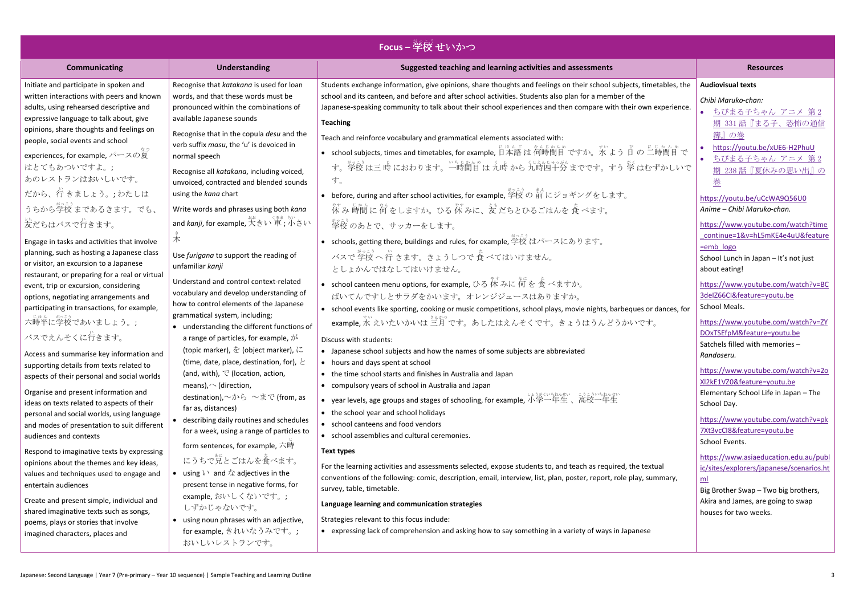| <b>Focus</b> – 学校 せいかつ                                                                                                                                                          |                                                                                                                                                                                                                        |                                                                                                                                                                                                                                                                                                                                                                    |                                                                                                                                        |  |
|---------------------------------------------------------------------------------------------------------------------------------------------------------------------------------|------------------------------------------------------------------------------------------------------------------------------------------------------------------------------------------------------------------------|--------------------------------------------------------------------------------------------------------------------------------------------------------------------------------------------------------------------------------------------------------------------------------------------------------------------------------------------------------------------|----------------------------------------------------------------------------------------------------------------------------------------|--|
| <b>Communicating</b>                                                                                                                                                            | <b>Understanding</b>                                                                                                                                                                                                   | Suggested teaching and learning activities and assessments                                                                                                                                                                                                                                                                                                         | <b>Resources</b>                                                                                                                       |  |
| Initiate and participate in spoken and<br>written interactions with peers and known<br>adults, using rehearsed descriptive and<br>expressive language to talk about, give       | Recognise that katakana is used for loan<br>words, and that these words must be<br>pronounced within the combinations of<br>available Japanese sounds                                                                  | Students exchange information, give opinions, share thoughts and feelings on their school subjects, timetables, the<br>school and its canteen, and before and after school activities. Students also plan for a member of the<br>Japanese-speaking community to talk about their school experiences and then compare with their own experience.<br><b>Teaching</b> | <b>Audiovisual texts</b><br>Chibi Maruko-chan:<br>ちびまる子ちゃん アニメ 第2<br>期 331 話『まる子、恐怖の通信                                                 |  |
| opinions, share thoughts and feelings on<br>people, social events and school<br>experiences, for example, パースの夏<br>はとてもあついですよ。;<br>あのレストランはおいしいです。<br>だから、行きましょう。;わたしは          | Recognise that in the copula desu and the<br>verb suffix masu, the 'u' is devoiced in<br>normal speech<br>Recognise all katakana, including voiced,<br>unvoiced, contracted and blended sounds<br>using the kana chart | Teach and reinforce vocabulary and grammatical elements associated with:<br>• school subjects, times and timetables, for example, 日本語は何時間目ですか。水よう日の二時間目で<br>す。学校 は三 時 におわります。一時間目 は 九時 から 九時四十分 までです。すう 学 はむずかしいで<br>す。<br>● before, during and after school activities, for example, 学校の前にジョギングをします。                                                              | 簿』の巻<br>https://youtu.be/xUE6-H2PhuU<br>ちびまる子ちゃん アニメ 第2<br>期 238話『夏休みの思い出』の<br>巻<br>https://youtu.be/uCcWA9Q56U0                       |  |
| うちから学校 まであるきます。でも、<br>。。<br>友だちはバスで行きます。                                                                                                                                        | Write words and phrases using both kana<br>and <i>kanji,</i> for example, 大きい 車 ; 小さい                                                                                                                                  | ☆★ ょゕん におんをしますか。ひる 休 みに、 友 だちとひるごはんを 食 べます。                                                                                                                                                                                                                                                                                                                        | Anime - Chibi Maruko-chan.<br>https://www.youtube.com/watch?time                                                                       |  |
| Engage in tasks and activities that involve<br>planning, such as hosting a Japanese class<br>or visitor, an excursion to a Japanese                                             | Use furigana to support the reading of<br>unfamiliar kanji                                                                                                                                                             | 学校のあとで、サッカーをします。<br>● schools, getting there, buildings and rules, for example, 学校 はパースにあります。<br>バスで 学校 へ 行 きます。きょうしつで 食 べてはいけません。<br>としょかんではなしてはいけません。                                                                                                                                                                                                            | continue=1&v=hL5mKE4e4uU&feature<br>=emb logo<br>School Lunch in Japan - It's not just<br>about eating!                                |  |
| restaurant, or preparing for a real or virtual<br>event, trip or excursion, considering<br>options, negotiating arrangements and<br>participating in transactions, for example, | Understand and control context-related<br>vocabulary and develop understanding of<br>how to control elements of the Japanese                                                                                           | ● school canteen menu options, for example, ひる 休みに何を食べますか。<br>ばいてんですしとサラダをかいます。オレンジジュースはありますか。<br>• school events like sporting, cooking or music competitions, school plays, movie nights, barbeques or dances, for                                                                                                                                               | https://www.youtube.com/watch?v=BC<br>3delZ66Cl&feature=youtu.be<br>School Meals.                                                      |  |
| 六時半に学校であいましょう。;<br>バスでえんそくに行きます。<br>Access and summarise key information and                                                                                                    | grammatical system, including;<br>• understanding the different functions of<br>a range of particles, for example, $\ddot{\psi}$<br>(topic marker), を (object marker), に                                               | example, 水 えいたいかいは 三月 です。あしたはえんそくです。きょうはうんどうかいです。<br>Discuss with students:<br>• Japanese school subjects and how the names of some subjects are abbreviated                                                                                                                                                                                                       | https://www.youtube.com/watch?v=ZY<br>DOxTSEfpM&feature=youtu.be<br>Satchels filled with memories -<br>Randoseru.                      |  |
| supporting details from texts related to<br>aspects of their personal and social worlds<br>Organise and present information and<br>ideas on texts related to aspects of their   | (time, date, place, destination, for), $\geq$<br>(and, with), $\heartsuit$ (location, action,<br>means), $\sim$ (direction,<br>destination), $\sim$ から ~まで (from, as<br>far as, distances)                             | • hours and days spent at school<br>• the time school starts and finishes in Australia and Japan<br>• compulsory years of school in Australia and Japan<br>• year levels, age groups and stages of schooling, for example, 小学一年生、高校一年生                                                                                                                             | https://www.youtube.com/watch?v=2o<br>XI2kE1VZ0&feature=youtu.be<br>Elementary School Life in Japan - The<br>School Day.               |  |
| personal and social worlds, using language<br>and modes of presentation to suit different<br>audiences and contexts                                                             | • describing daily routines and schedules<br>for a week, using a range of particles to<br>form sentences, for example, 六時                                                                                              | • the school year and school holidays<br>• school canteens and food vendors<br>• school assemblies and cultural ceremonies.                                                                                                                                                                                                                                        | https://www.youtube.com/watch?v=pk<br>7Xt3vcCl8&feature=youtu.be<br>School Events.                                                     |  |
| Respond to imaginative texts by expressing<br>opinions about the themes and key ideas,<br>values and techniques used to engage and<br>entertain audiences                       | にうちで兄とごはんを食べます。<br>• using $\vee$ and $\angle$ adjectives in the<br>present tense in negative forms, for                                                                                                               | <b>Text types</b><br>For the learning activities and assessments selected, expose students to, and teach as required, the textual<br>conventions of the following: comic, description, email, interview, list, plan, poster, report, role play, summary,<br>survey, table, timetable.                                                                              | https://www.asiaeducation.edu.au/publ<br>ic/sites/explorers/japanese/scenarios.ht<br><u>ml</u><br>Big Brother Swap - Two big brothers, |  |
| Create and present simple, individual and<br>shared imaginative texts such as songs,<br>poems, plays or stories that involve<br>imagined characters, places and                 | example,おいしくないです。;<br>しずかじゃないです。<br>• using noun phrases with an adjective,<br>for example, きれいなうみです。;<br>おいしいレストランです。                                                                                                 | Language learning and communication strategies<br>Strategies relevant to this focus include:<br>• expressing lack of comprehension and asking how to say something in a variety of ways in Japanese                                                                                                                                                                | Akira and James, are going to swap<br>houses for two weeks.                                                                            |  |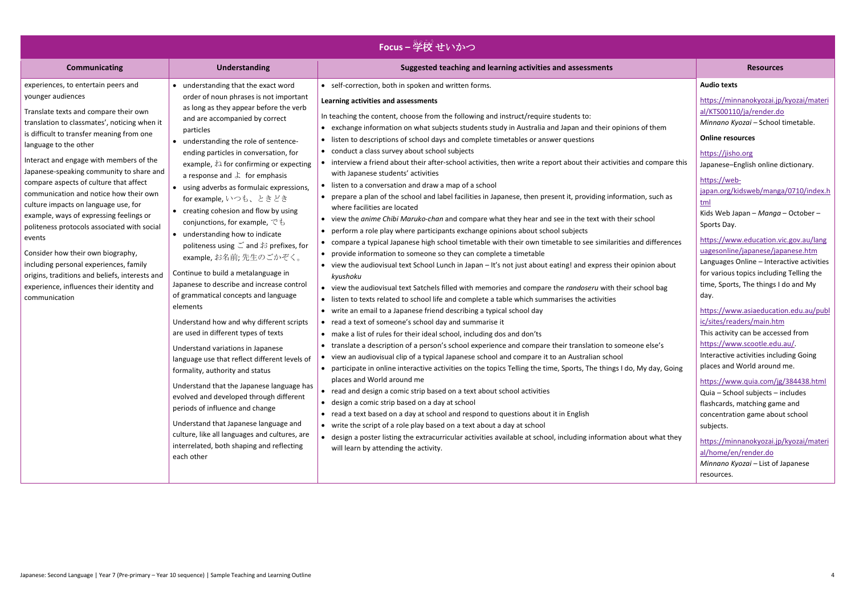| <b>Focus – 学校 せいかつ</b>                                                                                                                                                                                                                                                                                                                                                                                                                                                                                                                                                                                                                                                                                                                                                               |                                                                                                                                                                                                                                                                                                                                                                                                                                                                                                                                                                                                                                                                                                                                                                                                                                                                                                                                                                                                                                                                                                                                                                                                                            |                                                                                                                                                                                                                                                                                                                                                                                                                                                                                                                                                                                                                                                                                                                                                                                                                                                                                                                                                                                                                                                                                                                                                                                                                                                                                                                                                                                                                                                                                                                                                                                                                                                                                                                                                                                                                                                                                                                                                                                                                                                                                                                                                                                                                                                                                                                                                                                                                                                                                                                                                                                                          |                                                                                                                                                                                                                                                                                                                                                                                                                                                                                                                                                                                                                                                                                                                                                                                                                                                                                                                                                                                                                                                                        |
|--------------------------------------------------------------------------------------------------------------------------------------------------------------------------------------------------------------------------------------------------------------------------------------------------------------------------------------------------------------------------------------------------------------------------------------------------------------------------------------------------------------------------------------------------------------------------------------------------------------------------------------------------------------------------------------------------------------------------------------------------------------------------------------|----------------------------------------------------------------------------------------------------------------------------------------------------------------------------------------------------------------------------------------------------------------------------------------------------------------------------------------------------------------------------------------------------------------------------------------------------------------------------------------------------------------------------------------------------------------------------------------------------------------------------------------------------------------------------------------------------------------------------------------------------------------------------------------------------------------------------------------------------------------------------------------------------------------------------------------------------------------------------------------------------------------------------------------------------------------------------------------------------------------------------------------------------------------------------------------------------------------------------|----------------------------------------------------------------------------------------------------------------------------------------------------------------------------------------------------------------------------------------------------------------------------------------------------------------------------------------------------------------------------------------------------------------------------------------------------------------------------------------------------------------------------------------------------------------------------------------------------------------------------------------------------------------------------------------------------------------------------------------------------------------------------------------------------------------------------------------------------------------------------------------------------------------------------------------------------------------------------------------------------------------------------------------------------------------------------------------------------------------------------------------------------------------------------------------------------------------------------------------------------------------------------------------------------------------------------------------------------------------------------------------------------------------------------------------------------------------------------------------------------------------------------------------------------------------------------------------------------------------------------------------------------------------------------------------------------------------------------------------------------------------------------------------------------------------------------------------------------------------------------------------------------------------------------------------------------------------------------------------------------------------------------------------------------------------------------------------------------------------------------------------------------------------------------------------------------------------------------------------------------------------------------------------------------------------------------------------------------------------------------------------------------------------------------------------------------------------------------------------------------------------------------------------------------------------------------------------------------------|------------------------------------------------------------------------------------------------------------------------------------------------------------------------------------------------------------------------------------------------------------------------------------------------------------------------------------------------------------------------------------------------------------------------------------------------------------------------------------------------------------------------------------------------------------------------------------------------------------------------------------------------------------------------------------------------------------------------------------------------------------------------------------------------------------------------------------------------------------------------------------------------------------------------------------------------------------------------------------------------------------------------------------------------------------------------|
| <b>Communicating</b>                                                                                                                                                                                                                                                                                                                                                                                                                                                                                                                                                                                                                                                                                                                                                                 | <b>Understanding</b>                                                                                                                                                                                                                                                                                                                                                                                                                                                                                                                                                                                                                                                                                                                                                                                                                                                                                                                                                                                                                                                                                                                                                                                                       | Suggested teaching and learning activities and assessments                                                                                                                                                                                                                                                                                                                                                                                                                                                                                                                                                                                                                                                                                                                                                                                                                                                                                                                                                                                                                                                                                                                                                                                                                                                                                                                                                                                                                                                                                                                                                                                                                                                                                                                                                                                                                                                                                                                                                                                                                                                                                                                                                                                                                                                                                                                                                                                                                                                                                                                                               | <b>Resources</b>                                                                                                                                                                                                                                                                                                                                                                                                                                                                                                                                                                                                                                                                                                                                                                                                                                                                                                                                                                                                                                                       |
| experiences, to entertain peers and<br>younger audiences<br>Translate texts and compare their own<br>translation to classmates', noticing when it<br>particles<br>is difficult to transfer meaning from one<br>language to the other<br>Interact and engage with members of the<br>Japanese-speaking community to share and<br>compare aspects of culture that affect<br>communication and notice how their own<br>culture impacts on language use, for<br>example, ways of expressing feelings or<br>politeness protocols associated with social<br>events<br>Consider how their own biography,<br>including personal experiences, family<br>origins, traditions and beliefs, interests and<br>experience, influences their identity and<br>communication<br>elements<br>each other | • understanding that the exact word<br>order of noun phrases is not important<br>as long as they appear before the verb<br>and are accompanied by correct<br>• understanding the role of sentence-<br>ending particles in conversation, for<br>example, $\lambda$ for confirming or expecting<br>a response and $\downarrow$ for emphasis<br>• using adverbs as formulaic expressions,<br>for example, いつも、ときどき<br>• creating cohesion and flow by using<br>conjunctions, for example, $\mathfrak{S}$ to<br>• understanding how to indicate<br>politeness using ご and お prefixes, for<br>example, お名前; 先生のごかぞく。<br>Continue to build a metalanguage in<br>Japanese to describe and increase control<br>of grammatical concepts and language<br>Understand how and why different scripts<br>are used in different types of texts<br>Understand variations in Japanese<br>language use that reflect different levels of<br>formality, authority and status<br>Understand that the Japanese language has<br>evolved and developed through different<br>periods of influence and change<br>Understand that Japanese language and<br>culture, like all languages and cultures, are<br>interrelated, both shaping and reflecting | • self-correction, both in spoken and written forms.<br>Learning activities and assessments<br>In teaching the content, choose from the following and instruct/require students to:<br>• exchange information on what subjects students study in Australia and Japan and their opinions of them<br>• listen to descriptions of school days and complete timetables or answer questions<br>• conduct a class survey about school subjects<br>• interview a friend about their after-school activities, then write a report about their activities and compare this<br>with Japanese students' activities<br>• listen to a conversation and draw a map of a school<br>• prepare a plan of the school and label facilities in Japanese, then present it, providing information, such as<br>where facilities are located<br>• view the anime Chibi Maruko-chan and compare what they hear and see in the text with their school<br>• perform a role play where participants exchange opinions about school subjects<br>• compare a typical Japanese high school timetable with their own timetable to see similarities and differences<br>• provide information to someone so they can complete a timetable<br>• view the audiovisual text School Lunch in Japan – It's not just about eating! and express their opinion about<br>kyushoku<br>• view the audiovisual text Satchels filled with memories and compare the randoseru with their school bag<br>• listen to texts related to school life and complete a table which summarises the activities<br>• write an email to a Japanese friend describing a typical school day<br>• read a text of someone's school day and summarise it<br>• make a list of rules for their ideal school, including dos and don'ts<br>• translate a description of a person's school experience and compare their translation to someone else's<br>• view an audiovisual clip of a typical Japanese school and compare it to an Australian school<br>• participate in online interactive activities on the topics Telling the time, Sports, The things I do, My day, Going<br>places and World around me<br>• read and design a comic strip based on a text about school activities<br>• design a comic strip based on a day at school<br>• read a text based on a day at school and respond to questions about it in English<br>• write the script of a role play based on a text about a day at school<br>• design a poster listing the extracurricular activities available at school, including information about what they<br>will learn by attending the activity. | <b>Audio texts</b><br>https://minnanokyozai.jp/kyozai/materi<br>al/KTS00110/ja/render.do<br>Minnano Kyozai - School timetable.<br><b>Online resources</b><br>https://jisho.org<br>Japanese-English online dictionary.<br>https://web-<br>japan.org/kidsweb/manga/0710/index.h<br>tml<br>Kids Web Japan - Manga - October -<br>Sports Day.<br>https://www.education.vic.gov.au/lang<br>uagesonline/japanese/japanese.htm<br>Languages Online - Interactive activities<br>for various topics including Telling the<br>time, Sports, The things I do and My<br>day.<br>https://www.asiaeducation.edu.au/publ<br>ic/sites/readers/main.htm<br>This activity can be accessed from<br>https://www.scootle.edu.au/<br>Interactive activities including Going<br>places and World around me.<br>https://www.quia.com/jg/384438.html<br>Quia - School subjects - includes<br>flashcards, matching game and<br>concentration game about school<br>subjects.<br>https://minnanokyozai.jp/kyozai/materi<br>al/home/en/render.do<br>Minnano Kyozai - List of Japanese<br>resources. |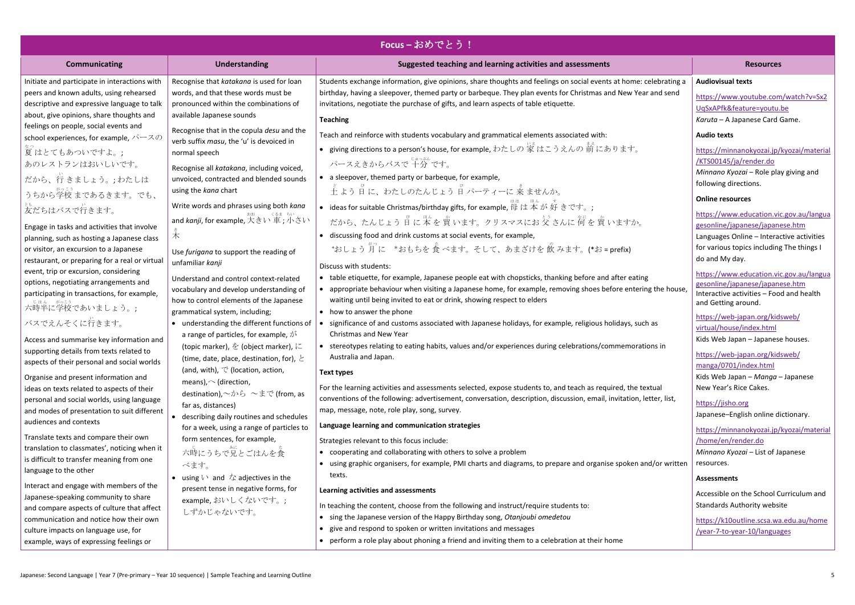| Focus-おめでとう!                                                                                                                                                                                                                                               |                                                                                                                                                                                                                             |                                                                                                                                                                                                                                                                                                                                                                                         |                                                                                                                                                                                        |
|------------------------------------------------------------------------------------------------------------------------------------------------------------------------------------------------------------------------------------------------------------|-----------------------------------------------------------------------------------------------------------------------------------------------------------------------------------------------------------------------------|-----------------------------------------------------------------------------------------------------------------------------------------------------------------------------------------------------------------------------------------------------------------------------------------------------------------------------------------------------------------------------------------|----------------------------------------------------------------------------------------------------------------------------------------------------------------------------------------|
| <b>Communicating</b>                                                                                                                                                                                                                                       | <b>Understanding</b>                                                                                                                                                                                                        | Suggested teaching and learning activities and assessments                                                                                                                                                                                                                                                                                                                              | <b>Resources</b>                                                                                                                                                                       |
| Initiate and participate in interactions with<br>peers and known adults, using rehearsed<br>descriptive and expressive language to talk<br>about, give opinions, share thoughts and                                                                        | Recognise that katakana is used for loan<br>words, and that these words must be<br>pronounced within the combinations of<br>available Japanese sounds                                                                       | Students exchange information, give opinions, share thoughts and feelings on social events at home: celebrating a<br>birthday, having a sleepover, themed party or barbeque. They plan events for Christmas and New Year and send<br>invitations, negotiate the purchase of gifts, and learn aspects of table etiquette.<br><b>Teaching</b>                                             | <b>Audiovisual texts</b><br>https://www.youtube.com/watch?v=Sx2<br>UqSxAPfk&feature=youtu.be<br>Karuta - A Japanese Card Game.                                                         |
| feelings on people, social events and<br>school experiences, for example, $\mathcal{N} \rightarrow \mathcal{R} \mathcal{D}$<br>夏はとてもあついですよ。;<br>あのレストランはおいしいです。<br>だから、行きましょう。;わたしは<br>うちから学校 まであるきます。でも、                                                  | Recognise that in the copula desu and the<br>verb suffix masu, the 'u' is devoiced in<br>normal speech<br>Recognise all katakana, including voiced,<br>unvoiced, contracted and blended sounds<br>using the kana chart      | Teach and reinforce with students vocabulary and grammatical elements associated with:<br>● giving directions to a person's house, for example, わたしの 家 はこうえんの 前 にあります。<br>パースえきからバスで「す。<br>• a sleepover, themed party or barbeque, for example,                                                                                                                                        | <b>Audio texts</b><br>https://minnanokyozai.jp/kyozai/material<br>KTS00145/ja/render.do<br>Minnano Kyozai - Role play giving and<br>following directions.<br><b>Online resources</b>   |
| 妄だちはバスで行きます。<br>Engage in tasks and activities that involve<br>planning, such as hosting a Japanese class<br>or visitor, an excursion to a Japanese<br>restaurant, or preparing for a real or virtual                                                      | Write words and phrases using both kana<br>and <i>kanji,</i> for example, 大きい 車; 小さい<br>木<br>Use furigana to support the reading of<br>unfamiliar kanji                                                                     | • ideas for suitable Christmas/birthday gifts, for example, 母は本が好きです。;<br>だから、たんじょう 日に 本を 買 います。クリスマスにお 父 さんに 何 を 買 いますか。<br>• discussing food and drink customs at social events, for example,<br>*おしょう 月 に *おもちを 食 べます。そして、あまざけを 飲 みます。(*お = prefix)<br>Discuss with students:                                                                                                        | https://www.education.vic.gov.au/langua<br>gesonline/japanese/japanese.htm<br>Languages Online - Interactive activities<br>for various topics including The things I<br>do and My day. |
| event, trip or excursion, considering<br>options, negotiating arrangements and<br>participating in transactions, for example,<br>- しょん かこっ<br>六時半に学校であいましょう。;<br>バスでえんそくに行きます。                                                                             | Understand and control context-related<br>vocabulary and develop understanding of<br>how to control elements of the Japanese<br>grammatical system, including;                                                              | • table etiquette, for example, Japanese people eat with chopsticks, thanking before and after eating<br>appropriate behaviour when visiting a Japanese home, for example, removing shoes before entering the house,<br>waiting until being invited to eat or drink, showing respect to elders<br>• how to answer the phone                                                             | https://www.education.vic.gov.au/langua<br>gesonline/japanese/japanese.htm<br>Interactive activities - Food and health<br>and Getting around.<br>https://web-japan.org/kidsweb/        |
| Access and summarise key information and<br>supporting details from texts related to<br>aspects of their personal and social worlds                                                                                                                        | • understanding the different functions of<br>a range of particles, for example, $\phi^{\xi}$<br>(topic marker), を (object marker), に<br>(time, date, place, destination, for), $\geq$<br>(and, with), で (location, action, | significance of and customs associated with Japanese holidays, for example, religious holidays, such as<br>Christmas and New Year<br>• stereotypes relating to eating habits, values and/or experiences during celebrations/commemorations in<br>Australia and Japan.<br>Text types                                                                                                     | virtual/house/index.html<br>Kids Web Japan - Japanese houses.<br>https://web-japan.org/kidsweb/<br>manga/0701/index.html                                                               |
| Organise and present information and<br>ideas on texts related to aspects of their<br>personal and social worlds, using language<br>and modes of presentation to suit different<br>audiences and contexts                                                  | means), $\sim$ (direction,<br>destination), $\sim$ から ~まで (from, as<br>far as, distances)<br>describing daily routines and schedules<br>for a week, using a range of particles to                                           | For the learning activities and assessments selected, expose students to, and teach as required, the textual<br>conventions of the following: advertisement, conversation, description, discussion, email, invitation, letter, list,<br>map, message, note, role play, song, survey.<br>Language learning and communication strategies                                                  | Kids Web Japan - Manga - Japanese<br>New Year's Rice Cakes.<br>https://jisho.org<br>Japanese-English online dictionary.<br>https://minnanokyozai.jp/kyozai/material                    |
| Translate texts and compare their own<br>translation to classmates', noticing when it<br>is difficult to transfer meaning from one<br>language to the other                                                                                                | form sentences, for example,<br>六時にうちで兄とごはんを食<br>べます。<br>• using $\vee$ and $\stackrel{\star}{\sim}$ adjectives in the                                                                                                      | Strategies relevant to this focus include:<br>• cooperating and collaborating with others to solve a problem<br>• using graphic organisers, for example, PMI charts and diagrams, to prepare and organise spoken and/or written<br>texts.                                                                                                                                               | /home/en/render.do<br>Minnano Kyozai - List of Japanese<br>resources.<br><b>Assessments</b>                                                                                            |
| Interact and engage with members of the<br>Japanese-speaking community to share<br>and compare aspects of culture that affect<br>communication and notice how their own<br>culture impacts on language use, for<br>example, ways of expressing feelings or | present tense in negative forms, for<br>example,おいしくないです。;<br>しずかじゃないです。                                                                                                                                                    | Learning activities and assessments<br>In teaching the content, choose from the following and instruct/require students to:<br>sing the Japanese version of the Happy Birthday song, Otanjoubi omedetou<br>give and respond to spoken or written invitations and messages<br>$\bullet$<br>• perform a role play about phoning a friend and inviting them to a celebration at their home | Accessible on the School Curriculum and<br><b>Standards Authority website</b><br>https://k10outline.scsa.wa.edu.au/home<br>/year-7-to-year-10/languages                                |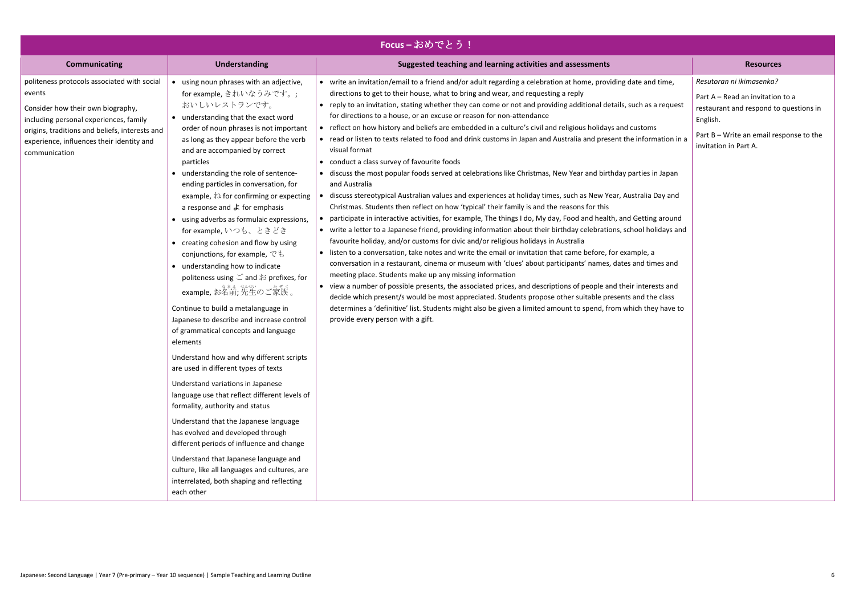| Focus-おめでとう!                                                                                                                                                                                                                                         |                                                                                                                                                                                                                                                                                                                                                                                                                                                                                                                                                                                                                                                                                                                                                                                                                                                                                                                                                                                                                                                                                                                                                                                                                                                                                                                                                                 |                                                                                                                                                                                                                                                                                                                                                                                                                                                                                                                                                                                                                                                                                                                                                                                                                                                                                                                                                                                                                                                                                                                                                                                                                                                                                                                                                                                                                                                                                                                                                                                                                                                                                                                                                                                                                                                                                                                                                                                                                                                                      |                                                                                                                                                                                        |  |
|------------------------------------------------------------------------------------------------------------------------------------------------------------------------------------------------------------------------------------------------------|-----------------------------------------------------------------------------------------------------------------------------------------------------------------------------------------------------------------------------------------------------------------------------------------------------------------------------------------------------------------------------------------------------------------------------------------------------------------------------------------------------------------------------------------------------------------------------------------------------------------------------------------------------------------------------------------------------------------------------------------------------------------------------------------------------------------------------------------------------------------------------------------------------------------------------------------------------------------------------------------------------------------------------------------------------------------------------------------------------------------------------------------------------------------------------------------------------------------------------------------------------------------------------------------------------------------------------------------------------------------|----------------------------------------------------------------------------------------------------------------------------------------------------------------------------------------------------------------------------------------------------------------------------------------------------------------------------------------------------------------------------------------------------------------------------------------------------------------------------------------------------------------------------------------------------------------------------------------------------------------------------------------------------------------------------------------------------------------------------------------------------------------------------------------------------------------------------------------------------------------------------------------------------------------------------------------------------------------------------------------------------------------------------------------------------------------------------------------------------------------------------------------------------------------------------------------------------------------------------------------------------------------------------------------------------------------------------------------------------------------------------------------------------------------------------------------------------------------------------------------------------------------------------------------------------------------------------------------------------------------------------------------------------------------------------------------------------------------------------------------------------------------------------------------------------------------------------------------------------------------------------------------------------------------------------------------------------------------------------------------------------------------------------------------------------------------------|----------------------------------------------------------------------------------------------------------------------------------------------------------------------------------------|--|
| <b>Communicating</b>                                                                                                                                                                                                                                 | <b>Understanding</b>                                                                                                                                                                                                                                                                                                                                                                                                                                                                                                                                                                                                                                                                                                                                                                                                                                                                                                                                                                                                                                                                                                                                                                                                                                                                                                                                            | Suggested teaching and learning activities and assessments                                                                                                                                                                                                                                                                                                                                                                                                                                                                                                                                                                                                                                                                                                                                                                                                                                                                                                                                                                                                                                                                                                                                                                                                                                                                                                                                                                                                                                                                                                                                                                                                                                                                                                                                                                                                                                                                                                                                                                                                           | <b>Resources</b>                                                                                                                                                                       |  |
| politeness protocols associated with social<br>events<br>Consider how their own biography,<br>including personal experiences, family<br>origins, traditions and beliefs, interests and<br>experience, influences their identity and<br>communication | • using noun phrases with an adjective,<br>for example, きれいなうみです。;<br>おいしいレストランです。<br>• understanding that the exact word<br>order of noun phrases is not important<br>as long as they appear before the verb<br>and are accompanied by correct<br>particles<br>• understanding the role of sentence-<br>ending particles in conversation, for<br>example, $\lambda$ for confirming or expecting<br>a response and $\downarrow$ for emphasis<br>• using adverbs as formulaic expressions,<br>for example, いつも、ときどき<br>• creating cohesion and flow by using<br>conjunctions, for example, $\check{\mathfrak{S}}$ to<br>• understanding how to indicate<br>politeness using ご and お prefixes, for<br>example, お名前; 先生のご家族 。<br>Continue to build a metalanguage in<br>Japanese to describe and increase control<br>of grammatical concepts and language<br>elements<br>Understand how and why different scripts<br>are used in different types of texts<br>Understand variations in Japanese<br>language use that reflect different levels of<br>formality, authority and status<br>Understand that the Japanese language<br>has evolved and developed through<br>different periods of influence and change<br>Understand that Japanese language and<br>culture, like all languages and cultures, are<br>interrelated, both shaping and reflecting<br>each other | • write an invitation/email to a friend and/or adult regarding a celebration at home, providing date and time,<br>directions to get to their house, what to bring and wear, and requesting a reply<br>• reply to an invitation, stating whether they can come or not and providing additional details, such as a request<br>for directions to a house, or an excuse or reason for non-attendance<br>• reflect on how history and beliefs are embedded in a culture's civil and religious holidays and customs<br>• read or listen to texts related to food and drink customs in Japan and Australia and present the information in a<br>visual format<br>• conduct a class survey of favourite foods<br>• discuss the most popular foods served at celebrations like Christmas, New Year and birthday parties in Japan<br>and Australia<br>discuss stereotypical Australian values and experiences at holiday times, such as New Year, Australia Day and<br>Christmas. Students then reflect on how 'typical' their family is and the reasons for this<br>participate in interactive activities, for example, The things I do, My day, Food and health, and Getting around<br>• write a letter to a Japanese friend, providing information about their birthday celebrations, school holidays and<br>favourite holiday, and/or customs for civic and/or religious holidays in Australia<br>• listen to a conversation, take notes and write the email or invitation that came before, for example, a<br>conversation in a restaurant, cinema or museum with 'clues' about participants' names, dates and times and<br>meeting place. Students make up any missing information<br>• view a number of possible presents, the associated prices, and descriptions of people and their interests and<br>decide which present/s would be most appreciated. Students propose other suitable presents and the class<br>determines a 'definitive' list. Students might also be given a limited amount to spend, from which they have to<br>provide every person with a gift. | Resutoran ni ikimasenka?<br>Part A - Read an invitation to a<br>restaurant and respond to questions in<br>English.<br>Part B – Write an email response to the<br>invitation in Part A. |  |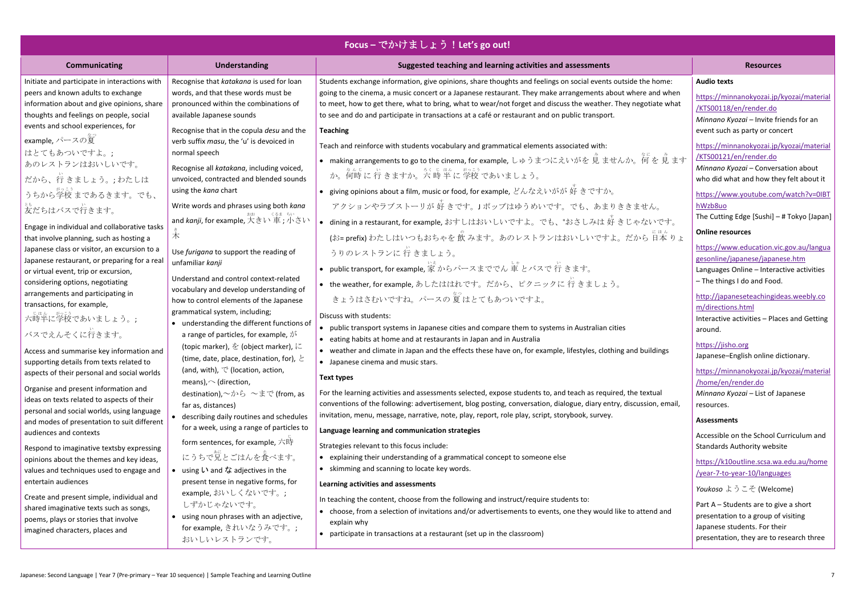| Focus – でかけましょう! Let's go out!                                                                                                                                                                                       |                                                                                                                                                                                                                    |                                                                                                                                                                                                                                                                                                                                                                                                                                                                   |                                                                                                                                                                                             |
|----------------------------------------------------------------------------------------------------------------------------------------------------------------------------------------------------------------------|--------------------------------------------------------------------------------------------------------------------------------------------------------------------------------------------------------------------|-------------------------------------------------------------------------------------------------------------------------------------------------------------------------------------------------------------------------------------------------------------------------------------------------------------------------------------------------------------------------------------------------------------------------------------------------------------------|---------------------------------------------------------------------------------------------------------------------------------------------------------------------------------------------|
| Communicating                                                                                                                                                                                                        | <b>Understanding</b>                                                                                                                                                                                               | Suggested teaching and learning activities and assessments                                                                                                                                                                                                                                                                                                                                                                                                        | <b>Resources</b>                                                                                                                                                                            |
| Initiate and participate in interactions with<br>peers and known adults to exchange<br>information about and give opinions, share<br>thoughts and feelings on people, social<br>events and school experiences, for   | Recognise that katakana is used for loan<br>words, and that these words must be<br>pronounced within the combinations of<br>available Japanese sounds<br>Recognise that in the copula desu and the                 | Students exchange information, give opinions, share thoughts and feelings on social events outside the home:<br>going to the cinema, a music concert or a Japanese restaurant. They make arrangements about where and when<br>to meet, how to get there, what to bring, what to wear/not forget and discuss the weather. They negotiate what<br>to see and do and participate in transactions at a café or restaurant and on public transport.<br><b>Teaching</b> | <b>Audio texts</b><br>https://minnanokyozai.jp/kyozai/material<br>/KTS00118/en/render.do<br>Minnano Kyozai - Invite friends for an<br>event such as party or concert                        |
| example, パースの夏<br>はとてもあついですよ。;<br>あのレストランはおいしいです。<br>だから、行きましょう。;わたしは<br>うちから学校まであるきます。でも、                                                                                                                           | verb suffix masu, the 'u' is devoiced in<br>normal speech<br>Recognise all katakana, including voiced,<br>unvoiced, contracted and blended sounds<br>using the kana chart                                          | Teach and reinforce with students vocabulary and grammatical elements associated with:<br>● making arrangements to go to the cinema, for example, しゅうまつにえいがを 見 ませんか。何を 見 ます<br>か。何時に行きますか。六 時半に 学校 であいましょう。<br>● giving opinions about a film, music or food, for example, どんなえいがが 好 きですか。                                                                                                                                                                        | https://minnanokyozai.jp/kyozai/material<br>KTS00121/en/render.do<br>Minnano Kyozai - Conversation about<br>who did what and how they felt about it<br>https://www.youtube.com/watch?v=0IBT |
| 妄だちはバスで行きます。<br>Engage in individual and collaborative tasks                                                                                                                                                         | Write words and phrases using both kana<br>and <i>kanji,</i> for example, 大きい 車; 小さい<br>木                                                                                                                          | アクションやラブストーリが好きです。」ポップはゆうめいです。でも、あまりききません。<br>● dining in a restaurant, for example, おすしはおいしいですよ。でも、*おさしみは好きじゃないです。                                                                                                                                                                                                                                                                                                                                               | hWzb8uo<br>The Cutting Edge [Sushi] - # Tokyo [Japan]<br><b>Online resources</b>                                                                                                            |
| that involve planning, such as hosting a<br>Japanese class or visitor, an excursion to a<br>Japanese restaurant, or preparing for a real<br>or virtual event, trip or excursion,<br>considering options, negotiating | Use furigana to support the reading of<br>unfamiliar kanji<br>Understand and control context-related                                                                                                               | (お= prefix) わたしはいつもおちゃを 飲 みます。あのレストランはおいしいですよ。だから 日本 りょ<br>うりのレストランに 行 きましょう。<br>• public transport, for example, 家からパースまででん 軍とバスで行きます。                                                                                                                                                                                                                                                                                                                           | https://www.education.vic.gov.au/langua<br>gesonline/japanese/japanese.htm<br>Languages Online - Interactive activities<br>- The things I do and Food.                                      |
| arrangements and participating in<br>transactions, for example,<br>六時半に学校であいましょう。;                                                                                                                                   | vocabulary and develop understanding of<br>how to control elements of the Japanese<br>grammatical system, including;<br>• understanding the different functions of                                                 | ● the weather, for example, あしたははれです。だから、ピクニックに行きましょう。<br>きょうはさむいですね。 パースの 夏 はとてもあついですよ。<br>Discuss with students:<br>public transport systems in Japanese cities and compare them to systems in Australian cities<br>$\bullet$                                                                                                                                                                                                                                   | http://japaneseteachingideas.weebly.co<br>m/directions.html<br>Interactive activities - Places and Getting<br>around.                                                                       |
| バスでえんそくに行きます。<br>Access and summarise key information and<br>supporting details from texts related to<br>aspects of their personal and social worlds                                                                 | a range of particles, for example, $\dot{\mathcal{D}}^{\dot{\mathsf{S}}}$<br>(topic marker), を (object marker), に<br>(time, date, place, destination, for), $\geq$<br>(and, with), $\heartsuit$ (location, action, | • eating habits at home and at restaurants in Japan and in Australia<br>• weather and climate in Japan and the effects these have on, for example, lifestyles, clothing and buildings<br>• Japanese cinema and music stars.                                                                                                                                                                                                                                       | https://jisho.org<br>Japanese-English online dictionary.<br>https://minnanokyozai.jp/kyozai/material                                                                                        |
| Organise and present information and<br>ideas on texts related to aspects of their<br>personal and social worlds, using language                                                                                     | means), $\sim$ (direction,<br>destination), $\sim$ から ~まで (from, as<br>far as, distances)<br>• describing daily routines and schedules                                                                             | Text types<br>For the learning activities and assessments selected, expose students to, and teach as required, the textual<br>conventions of the following: advertisement, blog posting, conversation, dialogue, diary entry, discussion, email,<br>invitation, menu, message, narrative, note, play, report, role play, script, storybook, survey.                                                                                                               | /home/en/render.do<br>Minnano Kyozai - List of Japanese<br>resources.<br><b>Assessments</b>                                                                                                 |
| and modes of presentation to suit different<br>audiences and contexts<br>Respond to imaginative textsby expressing<br>opinions about the themes and key ideas,                                                       | for a week, using a range of particles to<br>form sentences, for example, 六時<br>にうちで兄とごはんを食べます。                                                                                                                    | Language learning and communication strategies<br>Strategies relevant to this focus include:<br>• explaining their understanding of a grammatical concept to someone else                                                                                                                                                                                                                                                                                         | Accessible on the School Curriculum and<br><b>Standards Authority website</b>                                                                                                               |
| values and techniques used to engage and<br>entertain audiences<br>Create and present simple, individual and                                                                                                         | • using $\mathsf{L}$ and $\mathsf{L}$ adjectives in the<br>present tense in negative forms, for<br>example,おいしくないです。;                                                                                              | skimming and scanning to locate key words.<br>Learning activities and assessments                                                                                                                                                                                                                                                                                                                                                                                 | https://k10outline.scsa.wa.edu.au/home<br>/year-7-to-year-10/languages<br>Youkoso ようこそ (Welcome)                                                                                            |
| shared imaginative texts such as songs,<br>poems, plays or stories that involve<br>imagined characters, places and                                                                                                   | しずかじゃないです。<br>• using noun phrases with an adjective,<br>for example, きれいなうみです。;<br>おいしいレストランです。                                                                                                                   | In teaching the content, choose from the following and instruct/require students to:<br>• choose, from a selection of invitations and/or advertisements to events, one they would like to attend and<br>explain why<br>participate in transactions at a restaurant (set up in the classroom)                                                                                                                                                                      | Part A - Students are to give a short<br>presentation to a group of visiting<br>Japanese students. For their<br>presentation, they are to research three                                    |